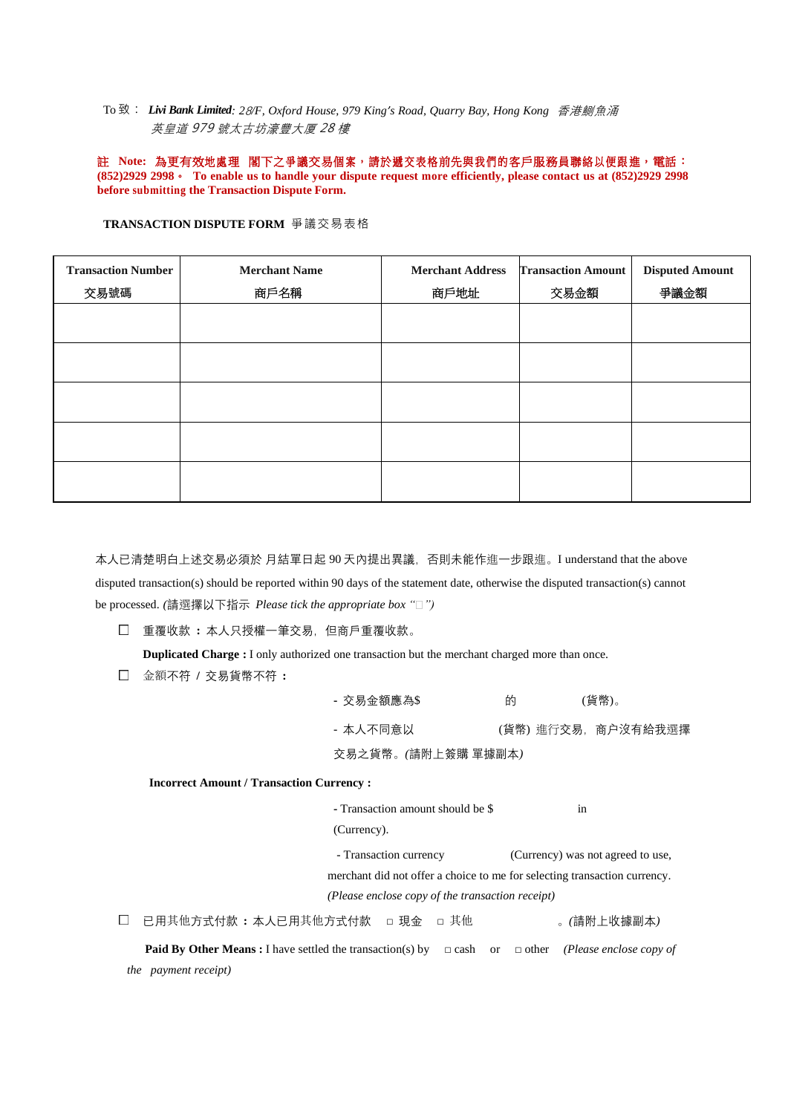To 致: *Livi Bank Limited: 2*8*/F, Oxford House, 979 King's Road, Quarry Bay, Hong Kong* 香港鰂魚涌 英皇道 979 號太古坊濠豐大厦 28 樓

註 Note: 為更有效地處理 閣下之爭議交易個案,請於遞交表格前先與我們的客戶服務員聯絡以便跟進, 電話: **(852)2929 2998**。 **To enable us to handle your dispute request more efficiently, please contact us at (852)2929 2998 before submitting the Transaction Dispute Form.**

| <b>Transaction Number</b><br>交易號碼 | <b>Merchant Name</b><br>商戶名稱 | <b>Merchant Address</b><br>商戶地址 | <b>Transaction Amount</b><br>交易金額 | <b>Disputed Amount</b><br>爭議金額 |
|-----------------------------------|------------------------------|---------------------------------|-----------------------------------|--------------------------------|
|                                   |                              |                                 |                                   |                                |
|                                   |                              |                                 |                                   |                                |
|                                   |                              |                                 |                                   |                                |
|                                   |                              |                                 |                                   |                                |
|                                   |                              |                                 |                                   |                                |

**TRANSACTION DISPUTE FORM** 爭議交易表格

本人已清楚明白上述交易必須於 月結單日起 90 天內提出異議,否則未能作進一步跟進。I understand that the above disputed transaction(s) should be reported within 90 days of the statement date, otherwise the disputed transaction(s) cannot be processed. *(*請選擇以下指示 *Please tick the appropriate box " ")*

重覆收款 **:** 本人只授權一筆交易,但商戶重覆收款。

**Duplicated Charge :** I only authorized one transaction but the merchant charged more than once.

金額不符 **/** 交易貨幣不符 **:**

| - 交易金額應為\$         | 的 |  | (貨幣)。              |  |  |
|--------------------|---|--|--------------------|--|--|
| - 本人不同意以           |   |  | (貨幣) 進行交易,商户沒有給我選擇 |  |  |
| 交易之貨幣。(請附上簽購 單據副本) |   |  |                    |  |  |

 **Incorrect Amount / Transaction Currency :**

**-** Transaction amount should be \$ in (Currency).

 - Transaction currency (Currency) was not agreed to use, merchant did not offer a choice to me for selecting transaction currency. *(Please enclose copy of the transaction receipt)*

已用其他方式付款 **:** 本人已用其他方式付款 □ 現金 □ 其他 。*(*請附上收據副本*)*

 **Paid By Other Means :** I have settled the transaction(s) by □ cash or □ other *(Please enclose copy of the payment receipt)*